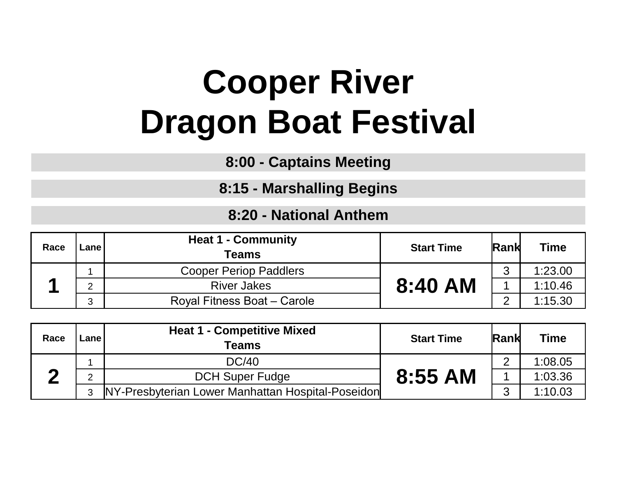## **Cooper River Dragon Boat Festival**

**8:00 - Captains Meeting**

**8:15 - Marshalling Begins**

## **8:20 - National Anthem**

| Race | Lanel                         | <b>Heat 1 - Community</b><br><b>Teams</b> | <b>Start Time</b> | Rank     | <b>Time</b> |
|------|-------------------------------|-------------------------------------------|-------------------|----------|-------------|
|      | <b>Cooper Periop Paddlers</b> |                                           | ◠                 | 1:23.00  |             |
|      | ⌒                             | <b>River Jakes</b>                        | 8:40 AM           |          | 1:10.46     |
|      | ◠<br>◡                        | Royal Fitness Boat - Carole               |                   | $\Omega$ | 1:15.30     |

| Race | Lane         | <b>Heat 1 - Competitive Mixed</b><br>Teams        | <b>Start Time</b> | <b>Rank</b> | <b>Time</b> |
|------|--------------|---------------------------------------------------|-------------------|-------------|-------------|
|      |              | <b>DC/40</b>                                      |                   | ⌒           | 1:08.05     |
|      | ⌒            | <b>DCH Super Fudge</b>                            | 8:55 AM           |             | 1:03.36     |
|      | $\mathbf{3}$ | NY-Presbyterian Lower Manhattan Hospital-Poseidon |                   | ◠           | 1:10.03     |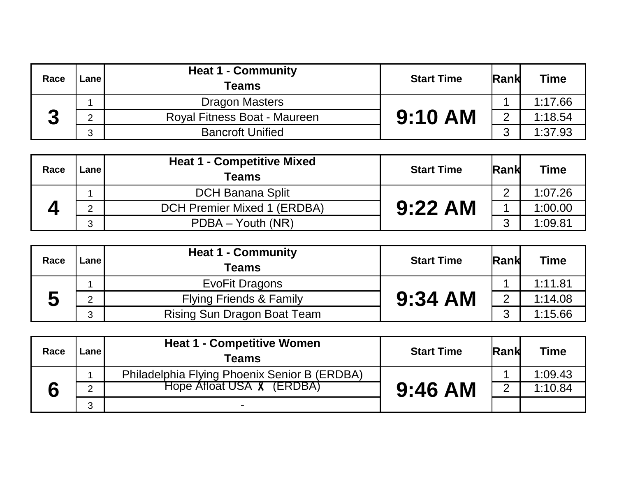| Race | Lane                              | <b>Heat 1 - Community</b><br>Teams | <b>Start Time</b> | <b>Rank</b> | <b>Time</b> |
|------|-----------------------------------|------------------------------------|-------------------|-------------|-------------|
|      |                                   | <b>Dragon Masters</b>              |                   |             | 1:17.66     |
| σ    | Royal Fitness Boat - Maureen<br>◠ | <b>9:10 AM</b>                     | റ                 | 1:18.54     |             |
|      | ◠                                 | <b>Bancroft Unified</b>            |                   | ◠           | 1:37.93     |

| Race | <b>Lane</b> | <b>Heat 1 - Competitive Mixed</b><br>Teams | <b>Start Time</b> | <b>Rank</b> | <b>Time</b> |
|------|-------------|--------------------------------------------|-------------------|-------------|-------------|
|      |             | <b>DCH Banana Split</b>                    |                   | ⌒           | 1:07.26     |
|      | ◠           | DCH Premier Mixed 1 (ERDBA)                | $9:22$ AM         |             | 1:00.00     |
|      | ົ           | PDBA - Youth (NR)                          |                   | ⌒           | 1:09.81     |

| Race | Lanel   | <b>Heat 1 - Community</b><br><b>Teams</b> | <b>Start Time</b> | <b>Rank</b>    | <b>Time</b> |
|------|---------|-------------------------------------------|-------------------|----------------|-------------|
|      |         | EvoFit Dragons                            |                   |                | 1:11.81     |
|      | ◠       | <b>Flying Friends &amp; Family</b>        | $9:34$ AM         | $\overline{2}$ | 1:14.08     |
|      | ◠<br>لب | Rising Sun Dragon Boat Team               |                   | ◠              | 1:15.66     |

| Race | Lanel  | <b>Heat 1 - Competitive Women</b><br>Teams   | <b>Start Time</b> | <b>Rank</b> | Time    |
|------|--------|----------------------------------------------|-------------------|-------------|---------|
|      |        | Philadelphia Flying Phoenix Senior B (ERDBA) |                   |             | 1:09.43 |
|      | $\sim$ | Hope Afloat USA & (ERDBA)                    | $9:46$ AM         |             | 1:10.84 |
|      | 3      | $\blacksquare$                               |                   |             |         |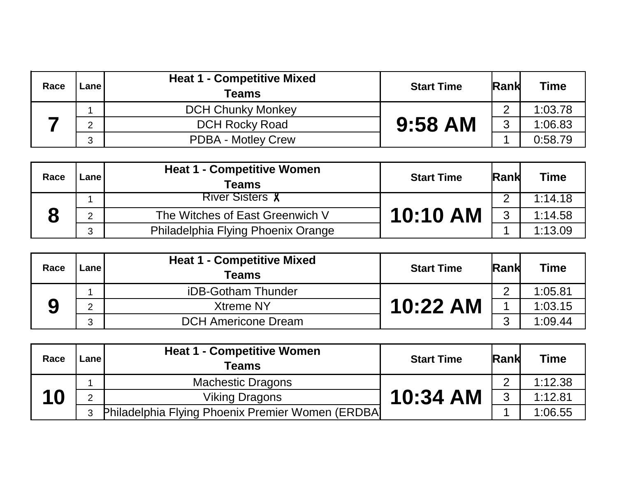| Race | Lane I                     | <b>Heat 1 - Competitive Mixed</b><br>Teams | <b>Start Time</b> | <b>Rank</b> | <b>Time</b> |
|------|----------------------------|--------------------------------------------|-------------------|-------------|-------------|
|      |                            | <b>DCH Chunky Monkey</b>                   |                   | ⌒           | 1:03.78     |
|      | <b>DCH Rocky Road</b><br>◠ | 9:58 AM                                    | 3                 | 1:06.83     |             |
|      | $\mathbf{r}$<br>J.         | <b>PDBA - Motley Crew</b>                  |                   |             | 0:58.79     |

| Race | Lane I | <b>Heat 1 - Competitive Women</b><br>Teams | <b>Start Time</b> | <b>Rank</b> | <b>Time</b> |
|------|--------|--------------------------------------------|-------------------|-------------|-------------|
|      |        | <b>River Sisters &amp;</b>                 |                   |             | 1:14.18     |
|      | C      | The Witches of East Greenwich V            | 10:10 AM          | 3           | 1:14.58     |
|      | ◠<br>J | Philadelphia Flying Phoenix Orange         |                   |             | 1:13.09     |

| Race | Lanel         | <b>Heat 1 - Competitive Mixed</b><br><b>Teams</b> | <b>Start Time</b> | <b>Rank</b> | Time    |
|------|---------------|---------------------------------------------------|-------------------|-------------|---------|
|      |               | iDB-Gotham Thunder                                |                   | ⌒           | 1:05.81 |
|      | ⌒             | <b>Xtreme NY</b>                                  | 10:22 AM          |             | 1:03.15 |
|      | $\Omega$<br>J | <b>DCH Americone Dream</b>                        |                   | ॽ           | 1:09.44 |

| Race | ∟ane ' | <b>Heat 1 - Competitive Women</b><br><b>Teams</b> | <b>Start Time</b> | <b>Rank</b> | <b>Time</b> |
|------|--------|---------------------------------------------------|-------------------|-------------|-------------|
|      |        | <b>Machestic Dragons</b>                          |                   | ⌒           | 1:12.38     |
| 10   | ⌒      | Viking Dragons                                    | 10:34 AM          | 3           | 1:12.81     |
|      | 3      | Philadelphia Flying Phoenix Premier Women (ERDBA) |                   |             | 1:06.55     |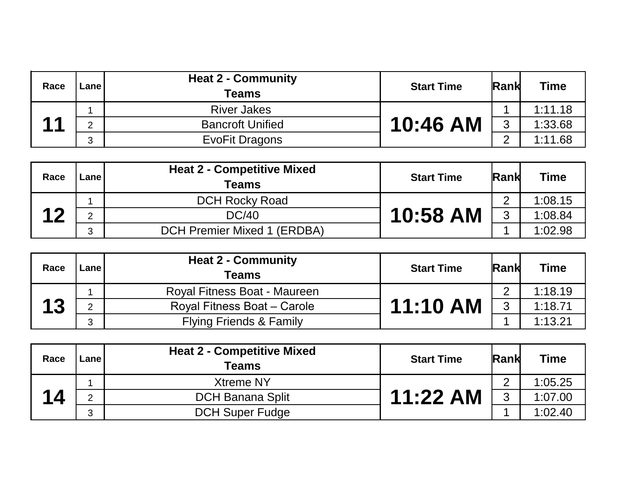| Race                                      | Lane l | <b>Heat 2 - Community</b><br><b>Teams</b> | <b>Start Time</b> | <b>Rank</b> | <b>Time</b> |
|-------------------------------------------|--------|-------------------------------------------|-------------------|-------------|-------------|
|                                           |        | <b>River Jakes</b>                        |                   |             | 1:11.18     |
| $\begin{array}{c} \textbf{4} \end{array}$ | റ      | <b>Bancroft Unified</b>                   | 10:46 AM          | 3           | 1:33.68     |
|                                           | ົ<br>J | EvoFit Dragons                            |                   | ⌒           | 1:11.68     |

|  | Race              | Lanel  | <b>Heat 2 - Competitive Mixed</b><br><b>Teams</b> | <b>Start Time</b> | <b>Rank</b> | <b>Time</b> |
|--|-------------------|--------|---------------------------------------------------|-------------------|-------------|-------------|
|  | $\boldsymbol{10}$ |        | <b>DCH Rocky Road</b>                             |                   | $\Omega$    | 1:08.15     |
|  |                   | C      | <b>DC/40</b>                                      | 10:58 AM          | 3           | 1:08.84     |
|  |                   | ◠<br>J | <b>DCH Premier Mixed 1 (ERDBA)</b>                |                   |             | 1:02.98     |

| Race | Lanel | <b>Heat 2 - Community</b><br><b>Teams</b> | <b>Start Time</b> | <b>Rank</b> | <b>Time</b> |
|------|-------|-------------------------------------------|-------------------|-------------|-------------|
|      |       | Royal Fitness Boat - Maureen              |                   | ⌒           | 1:18.19     |
|      | C.    | Royal Fitness Boat - Carole               | <b>11:10 AM</b>   | 3           | 1:18.71     |
|      | ◠     | <b>Flying Friends &amp; Family</b>        |                   |             | 1:13.21     |

| Race | Lanel | <b>Heat 2 - Competitive Mixed</b><br><b>Teams</b> | <b>Start Time</b> | <b>Rank</b> | Time    |
|------|-------|---------------------------------------------------|-------------------|-------------|---------|
|      |       | <b>Xtreme NY</b>                                  |                   | $\Omega$    | 1:05.25 |
| 14   | C     | <b>DCH Banana Split</b>                           | 11:22 AM          | 3           | 1:07.00 |
|      | 3     | <b>DCH Super Fudge</b>                            |                   |             | 1:02.40 |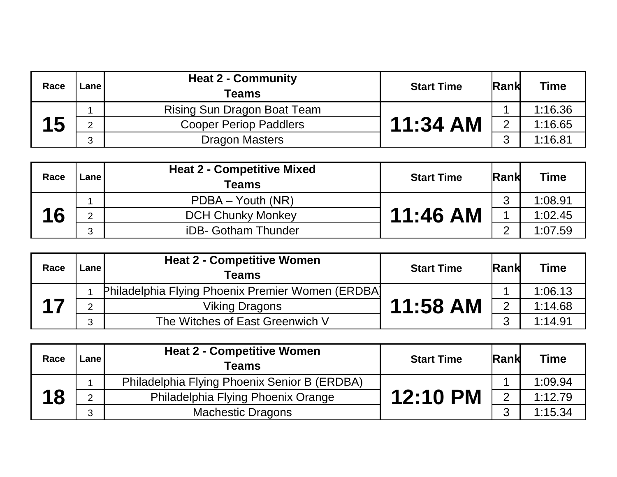| Race | Lane I | <b>Heat 2 - Community</b><br><b>Teams</b> | <b>Start Time</b> | <b>Rank</b>    | <b>Time</b> |
|------|--------|-------------------------------------------|-------------------|----------------|-------------|
|      |        | Rising Sun Dragon Boat Team               |                   |                | 1:16.36     |
| 15   | C      | <b>Cooper Periop Paddlers</b>             | $11:34$ AM        | $\overline{2}$ | 1:16.65     |
|      | 3      | <b>Dragon Masters</b>                     |                   | $\Omega$       | 1:16.81     |

| Race | Lanel             | <b>Heat 2 - Competitive Mixed</b><br><b>Teams</b> | <b>Start Time</b> | <b>Rank</b> | <b>Time</b> |
|------|-------------------|---------------------------------------------------|-------------------|-------------|-------------|
|      |                   | $PDBA - Youth (NR)$                               |                   | ◠           | 1:08.91     |
| 16   | C                 | <b>DCH Chunky Monkey</b>                          | 11:46 AM          |             | 1:02.45     |
|      | $\mathbf{r}$<br>J | iDB- Gotham Thunder                               |                   | $\sim$      | 1:07.59     |

| Race | Lanel        | <b>Heat 2 - Competitive Women</b><br><b>Teams</b> | <b>Start Time</b> | <b>Rank</b>    | <b>Time</b> |
|------|--------------|---------------------------------------------------|-------------------|----------------|-------------|
|      |              | Philadelphia Flying Phoenix Premier Women (ERDBA) |                   |                | 1:06.13     |
|      | ⌒            | <b>Viking Dragons</b>                             | 11:58 AM          | $\overline{2}$ | 1:14.68     |
|      | $\mathbf{r}$ | The Witches of East Greenwich V                   |                   | $\sim$         | 1:14.91     |

| Race | Lanel | <b>Heat 2 - Competitive Women</b><br><b>Teams</b> | <b>Start Time</b> | <b>Rank</b>    | <b>Time</b> |
|------|-------|---------------------------------------------------|-------------------|----------------|-------------|
|      |       | Philadelphia Flying Phoenix Senior B (ERDBA)      |                   |                | 1:09.94     |
| 18   | C     | Philadelphia Flying Phoenix Orange                | 12:10 PM          | $\overline{2}$ | 1:12.79     |
|      | 3     | <b>Machestic Dragons</b>                          |                   | ◠              | 1:15.34     |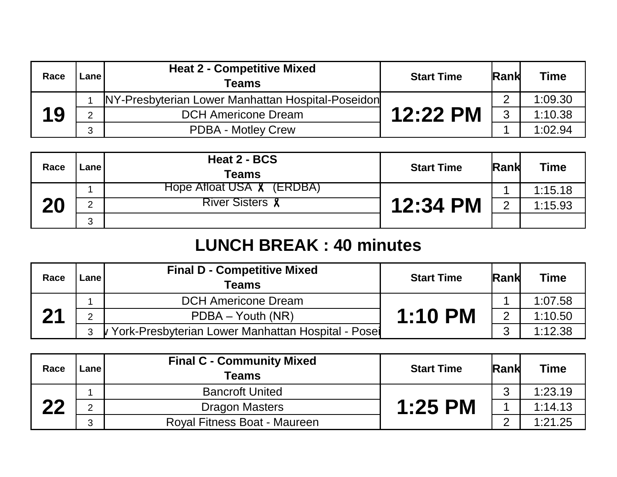| Race | Lanel        | <b>Heat 2 - Competitive Mixed</b><br>Teams        | <b>Start Time</b> | <b>Rank</b> | <b>Time</b> |
|------|--------------|---------------------------------------------------|-------------------|-------------|-------------|
|      |              | NY-Presbyterian Lower Manhattan Hospital-Poseidon |                   | ◠           | 1:09.30     |
| 19   | C            | <b>DCH Americone Dream</b>                        | 12:22 PM          | 3           | 1:10.38     |
|      | $\mathbf{r}$ | <b>PDBA - Motley Crew</b>                         |                   |             | 1:02.94     |

| Race | ∟ane l | Heat 2 - BCS<br>Teams            | <b>Start Time</b> | Rank           | Time    |
|------|--------|----------------------------------|-------------------|----------------|---------|
| 20   |        | Hope Afloat USA <b>X</b> (ERDBA) |                   |                | 1:15.18 |
|      | ⌒      | <b>River Sisters &amp;</b>       | 12:34 PM          | $\overline{2}$ | 1:15.93 |
|      | 3      |                                  |                   |                |         |

## **LUNCH BREAK : 40 minutes**

| Race | Lane         | <b>Final D - Competitive Mixed</b><br>Teams        | <b>Start Time</b> | <b>Rank</b>    | <b>Time</b> |
|------|--------------|----------------------------------------------------|-------------------|----------------|-------------|
| 21   |              | <b>DCH Americone Dream</b>                         |                   |                | 1:07.58     |
|      | <sub>O</sub> | PDBA - Youth (NR)                                  | <b>1:10 PM</b>    | $\overline{2}$ | 1:10.50     |
|      | 3            | York-Presbyterian Lower Manhattan Hospital - Posei |                   | ॽ              | 1:12.38     |

| Race | Lane | <b>Final C - Community Mixed</b><br>Teams | <b>Start Time</b> | <b>Rank</b> | <b>Time</b> |
|------|------|-------------------------------------------|-------------------|-------------|-------------|
|      |      | <b>Bancroft United</b>                    |                   | ◠           | 1:23.19     |
| つつ   | ⌒    | <b>Dragon Masters</b>                     | <b>1:25 PM</b>    |             | 1:14.13     |
|      | 3    | Royal Fitness Boat - Maureen              |                   | ⌒           | 1:21.25     |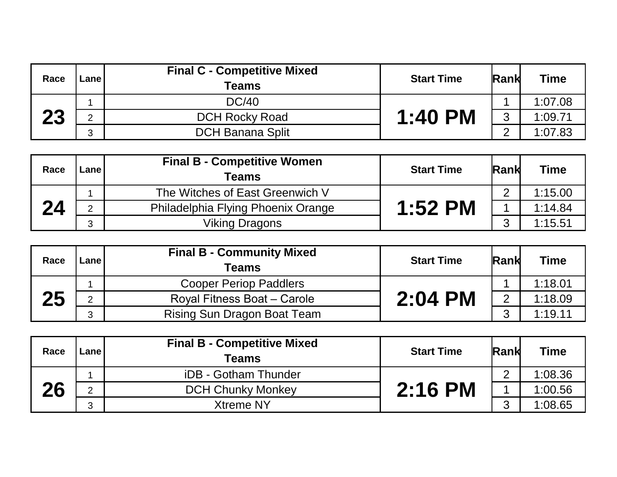| Race | Lane l            | <b>Final C - Competitive Mixed</b><br><b>Teams</b> | <b>Start Time</b> | <b>Rank</b> | <b>Time</b> |
|------|-------------------|----------------------------------------------------|-------------------|-------------|-------------|
|      |                   | DC/40                                              |                   |             | 1:07.08     |
| 23   | ⌒                 | <b>DCH Rocky Road</b>                              | 1:40 PM           | 3           | 1:09.71     |
|      | $\mathbf{r}$<br>J | <b>DCH Banana Split</b>                            |                   | $\sim$      | 1:07.83     |

| Race | Lanel         | <b>Final B - Competitive Women</b><br>Teams | <b>Start Time</b> | <b>Rank</b> | <b>Time</b> |
|------|---------------|---------------------------------------------|-------------------|-------------|-------------|
|      |               | The Witches of East Greenwich V             |                   | ⌒           | 1:15.00     |
| 24   | $\mathcal{D}$ | Philadelphia Flying Phoenix Orange          | $1:52$ PM         |             | 1:14.84     |
|      | ◠             | <b>Viking Dragons</b>                       |                   | ⌒           | 1:15.51     |

| Race | Lanel   | <b>Final B - Community Mixed</b><br><b>Teams</b> | <b>Start Time</b> | <b>Rank</b>    | <b>Time</b> |
|------|---------|--------------------------------------------------|-------------------|----------------|-------------|
| 25   |         | <b>Cooper Periop Paddlers</b>                    | 2:04 PM           |                | 1:18.01     |
|      | ⌒       | Royal Fitness Boat - Carole                      |                   | $\overline{2}$ | 1:18.09     |
|      | C.<br>C | Rising Sun Dragon Boat Team                      |                   | ◠              | 1:19.11     |

| Race | ∟ane l | <b>Final B - Competitive Mixed</b><br><b>Teams</b> | <b>Start Time</b> | <b>Rank</b> | <b>Time</b> |
|------|--------|----------------------------------------------------|-------------------|-------------|-------------|
| 26   |        | iDB - Gotham Thunder                               | $2:16$ PM         | ⌒           | 1:08.36     |
|      | ⌒      | <b>DCH Chunky Monkey</b>                           |                   |             | 1:00.56     |
|      | C      | <b>Xtreme NY</b>                                   |                   | $\sim$      | 1:08.65     |